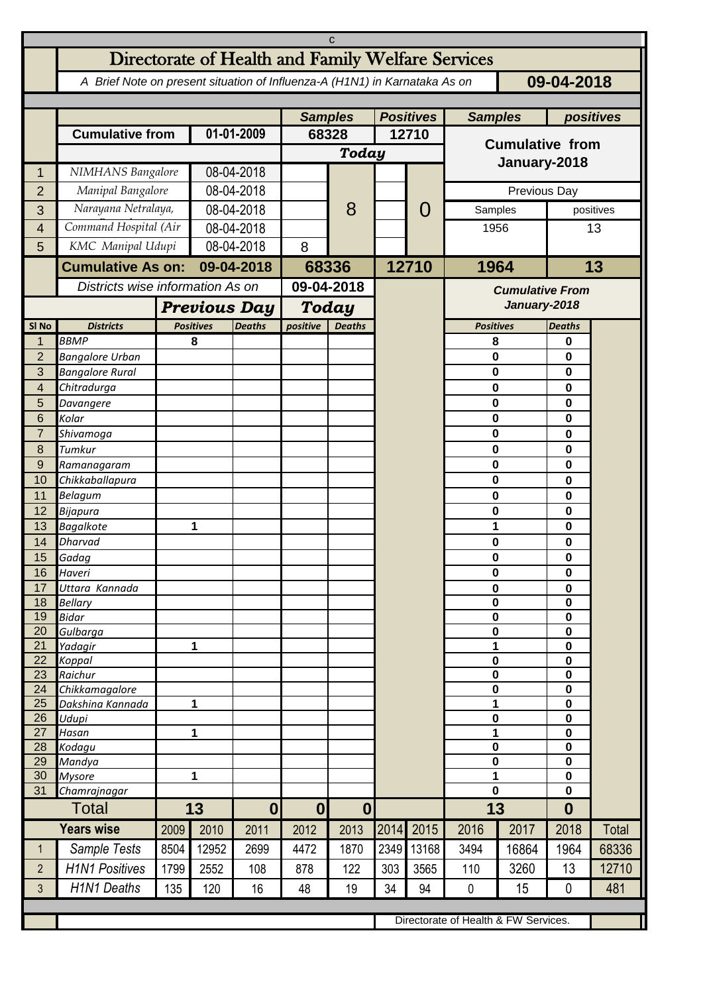| C                   |                                                                                          |                                  |                     |                  |                |                  |                  |           |                        |                        |                            |       |  |
|---------------------|------------------------------------------------------------------------------------------|----------------------------------|---------------------|------------------|----------------|------------------|------------------|-----------|------------------------|------------------------|----------------------------|-------|--|
|                     | Directorate of Health and Family Welfare Services                                        |                                  |                     |                  |                |                  |                  |           |                        |                        |                            |       |  |
|                     | A Brief Note on present situation of Influenza-A (H1N1) in Karnataka As on<br>09-04-2018 |                                  |                     |                  |                |                  |                  |           |                        |                        |                            |       |  |
|                     |                                                                                          |                                  |                     |                  | <b>Samples</b> |                  | <b>Positives</b> |           | <b>Samples</b>         |                        | positives                  |       |  |
|                     | <b>Cumulative from</b>                                                                   |                                  | 01-01-2009          |                  | 68328          |                  | 12710            |           | <b>Cumulative from</b> |                        |                            |       |  |
|                     |                                                                                          |                                  |                     |                  | Today          |                  |                  |           |                        |                        |                            |       |  |
| 1                   | NIMHANS Bangalore                                                                        |                                  | 08-04-2018          |                  |                |                  |                  |           | January-2018           |                        |                            |       |  |
| $\overline{2}$      | Manipal Bangalore                                                                        |                                  | 08-04-2018          |                  |                |                  |                  |           | Previous Day           |                        |                            |       |  |
| 3                   | Narayana Netralaya,                                                                      |                                  |                     | 08-04-2018       |                | 8                |                  | O         | Samples                | positives              |                            |       |  |
| 4                   | Command Hospital (Air                                                                    |                                  |                     | 08-04-2018       |                |                  |                  |           | 1956                   |                        | 13                         |       |  |
| 5                   | KMC Manipal Udupi                                                                        |                                  |                     | 08-04-2018       |                |                  |                  |           |                        |                        |                            |       |  |
|                     | <b>Cumulative As on:</b>                                                                 |                                  | 09-04-2018          |                  | 68336          |                  |                  | 12710     | 1964                   |                        | 13                         |       |  |
|                     |                                                                                          | Districts wise information As on |                     |                  | 09-04-2018     |                  |                  |           |                        | <b>Cumulative From</b> |                            |       |  |
|                     |                                                                                          |                                  | <b>Previous Day</b> |                  |                | Today            |                  |           |                        |                        | January-2018               |       |  |
| SI <sub>No</sub>    | <b>Districts</b>                                                                         |                                  | <b>Positives</b>    | <b>Deaths</b>    | positive       | <b>Deaths</b>    |                  |           | <b>Positives</b>       |                        | <b>Deaths</b>              |       |  |
| 1                   | <b>BBMP</b>                                                                              |                                  | 8                   |                  |                |                  |                  |           | 8                      |                        | 0                          |       |  |
| $\overline{2}$<br>3 | <b>Bangalore Urban</b>                                                                   |                                  |                     |                  |                |                  |                  |           | 0<br>0                 |                        | 0<br>0                     |       |  |
| 4                   | <b>Bangalore Rural</b><br>Chitradurga                                                    |                                  |                     |                  |                |                  |                  |           | 0                      |                        | 0                          |       |  |
| 5                   | Davangere                                                                                |                                  |                     |                  |                |                  |                  |           | 0                      |                        | 0                          |       |  |
| 6                   | Kolar                                                                                    |                                  |                     |                  |                |                  |                  |           | $\mathbf 0$            |                        | 0                          |       |  |
| $\overline{7}$      | Shivamoga                                                                                |                                  |                     |                  |                |                  |                  |           | 0                      |                        | 0                          |       |  |
| 8<br>$\overline{9}$ | Tumkur<br>Ramanagaram                                                                    |                                  |                     |                  |                |                  |                  |           | 0<br>0                 |                        | 0<br>0                     |       |  |
| 10                  | Chikkaballapura                                                                          |                                  |                     |                  |                |                  |                  |           | 0                      |                        | 0                          |       |  |
| 11                  | Belagum                                                                                  |                                  |                     |                  |                |                  |                  |           | $\pmb{0}$              |                        | 0                          |       |  |
| 12                  | Bijapura                                                                                 |                                  |                     |                  |                |                  |                  |           | $\mathbf 0$            |                        | 0                          |       |  |
| 13                  | <b>Bagalkote</b>                                                                         |                                  | 1                   |                  |                |                  |                  |           | 1                      |                        | 0                          |       |  |
| 14<br>15            | <b>Dharvad</b><br>Gadag                                                                  |                                  |                     |                  |                |                  |                  |           | 0<br>$\pmb{0}$         |                        | 0<br>0                     |       |  |
| 16                  | Haveri                                                                                   |                                  |                     |                  |                |                  |                  |           | 0                      |                        | 0                          |       |  |
| 17                  | Uttara Kannada                                                                           |                                  |                     |                  |                |                  |                  |           | $\mathbf 0$            |                        | 0                          |       |  |
| 18                  | <b>Bellary</b>                                                                           |                                  |                     |                  |                |                  |                  |           | $\pmb{0}$<br>$\pmb{0}$ |                        | 0                          |       |  |
| 19<br>20            | <b>Bidar</b><br>Gulbarga                                                                 |                                  |                     |                  |                |                  |                  |           | $\pmb{0}$              |                        | $\mathbf 0$<br>$\mathbf 0$ |       |  |
| 21                  | Yadagir                                                                                  |                                  | 1                   |                  |                |                  |                  |           | 1                      |                        | 0                          |       |  |
| 22                  | Koppal                                                                                   |                                  |                     |                  |                |                  |                  |           | $\pmb{0}$<br>$\pmb{0}$ |                        | $\mathbf 0$                |       |  |
| 23<br>24            | Raichur<br>Chikkamagalore                                                                |                                  |                     |                  |                |                  |                  |           | $\pmb{0}$              |                        | $\mathbf 0$<br>$\mathbf 0$ |       |  |
| 25                  | Dakshina Kannada                                                                         | 1                                |                     |                  |                |                  |                  |           | 1                      |                        | $\pmb{0}$                  |       |  |
| 26                  | Udupi                                                                                    |                                  |                     |                  |                |                  |                  |           | $\mathbf 0$            |                        | 0                          |       |  |
| 27<br>28            | Hasan<br>Kodagu                                                                          | 1                                |                     |                  |                |                  |                  |           | 1<br>0                 |                        | 0<br>0                     |       |  |
| 29                  | Mandya                                                                                   |                                  |                     |                  |                |                  |                  |           | $\mathbf 0$            |                        | 0                          |       |  |
| 30                  | <b>Mysore</b>                                                                            | 1                                |                     |                  |                |                  |                  |           | 1                      |                        | 0                          |       |  |
| 31                  | Chamrajnagar                                                                             |                                  |                     |                  |                |                  |                  |           | 0                      |                        | $\mathbf 0$                |       |  |
|                     | <b>Total</b>                                                                             |                                  | 13                  | $\boldsymbol{0}$ | 0              | $\boldsymbol{0}$ |                  |           | 13                     |                        | $\boldsymbol{0}$           |       |  |
|                     | <b>Years wise</b>                                                                        | 2009                             | 2010                | 2011             | 2012           | 2013             |                  | 2014 2015 | 2016                   | 2017                   | 2018                       | Total |  |
| $\mathbf{1}$        | Sample Tests                                                                             | 8504                             | 12952               | 2699             | 4472           | 1870             | 2349             | 13168     | 3494                   | 16864                  | 1964                       | 68336 |  |
| $\overline{2}$      | <b>H1N1 Positives</b>                                                                    | 1799                             | 2552                | 108              | 878            | 122              | 303              | 3565      | 110                    | 3260                   | 13                         | 12710 |  |
| $\mathbf{3}$        | <b>H1N1 Deaths</b>                                                                       | 135                              | 120                 | 16               | 48             | 19               | 34               | 94        | $\mathbf{0}$           | 15                     | $\mathbf{0}$               | 481   |  |
|                     |                                                                                          |                                  |                     |                  |                |                  |                  |           |                        |                        |                            |       |  |
|                     | Directorate of Health & FW Services.                                                     |                                  |                     |                  |                |                  |                  |           |                        |                        |                            |       |  |